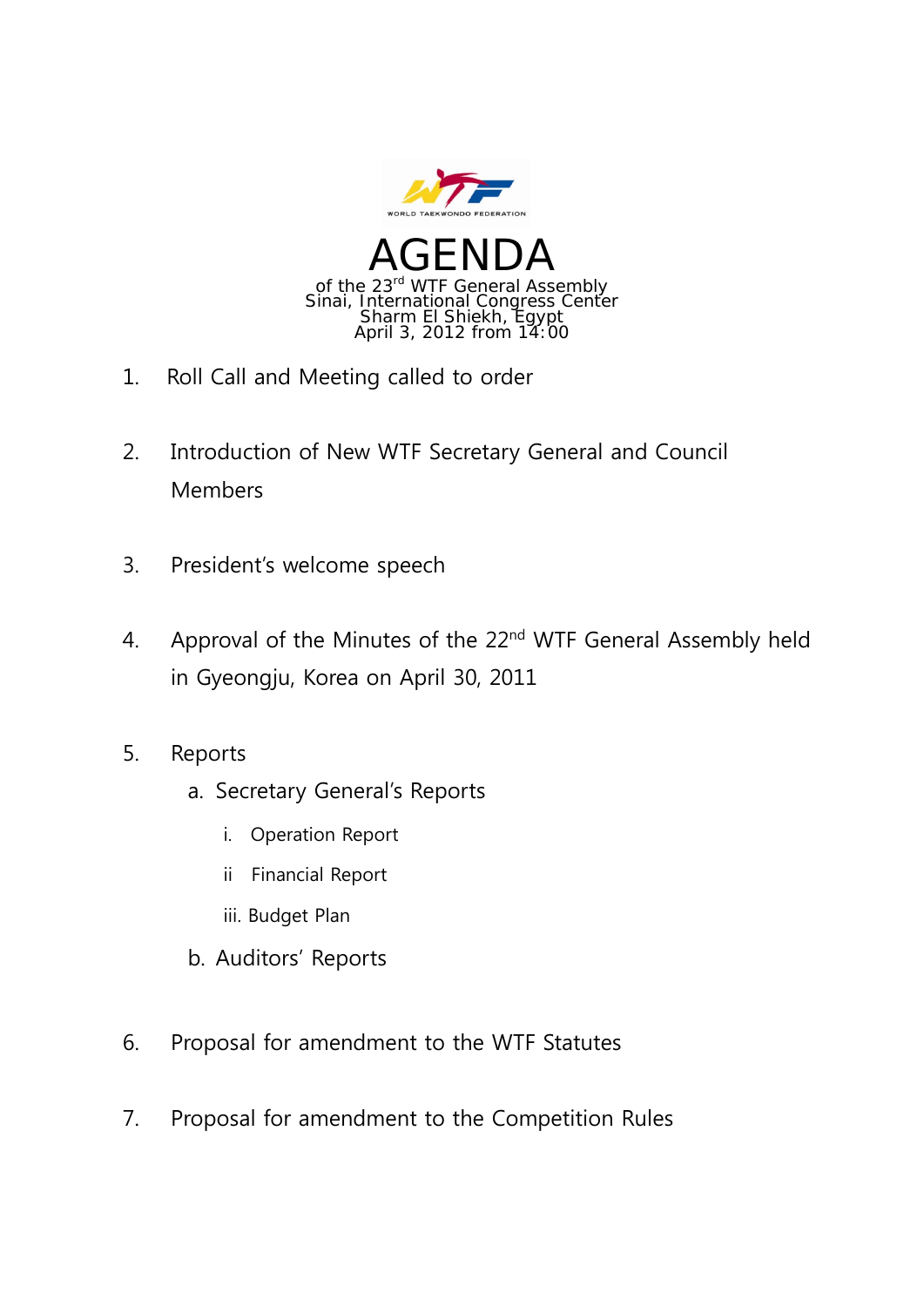

- 1. Roll Call and Meeting called to order
- 2. Introduction of New WTF Secretary General and Council Members
- 3. President's welcome speech
- 4. Approval of the Minutes of the 22<sup>nd</sup> WTF General Assembly held in Gyeongju, Korea on April 30, 2011
- 5. Reports
	- a. Secretary General's Reports
		- i. Operation Report
		- ii Financial Report
		- iii. Budget Plan
	- b. Auditors' Reports
- 6. Proposal for amendment to the WTF Statutes
- 7. Proposal for amendment to the Competition Rules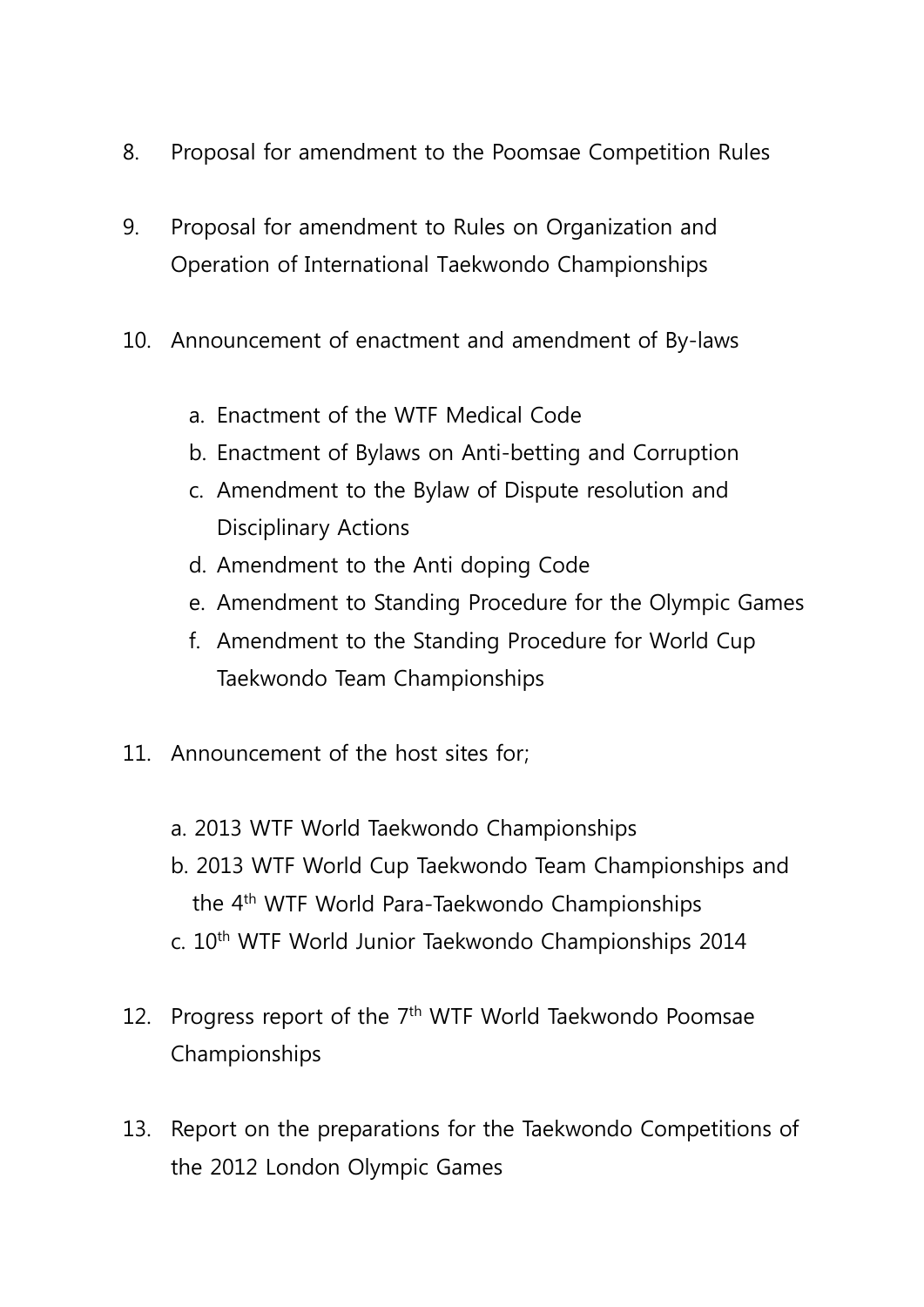- 8. Proposal for amendment to the Poomsae Competition Rules
- 9. Proposal for amendment to Rules on Organization and Operation of International Taekwondo Championships
- 10. Announcement of enactment and amendment of By-laws
	- a. Enactment of the WTF Medical Code
	- b. Enactment of Bylaws on Anti-betting and Corruption
	- c. Amendment to the Bylaw of Dispute resolution and Disciplinary Actions
	- d. Amendment to the Anti doping Code
	- e. Amendment to Standing Procedure for the Olympic Games
	- f. Amendment to the Standing Procedure for World Cup Taekwondo Team Championships
- 11. Announcement of the host sites for;
	- a. 2013 WTF World Taekwondo Championships
	- b. 2013 WTF World Cup Taekwondo Team Championships and the 4th WTF World Para-Taekwondo Championships
	- c. 10th WTF World Junior Taekwondo Championships 2014
- 12. Progress report of the 7<sup>th</sup> WTF World Taekwondo Poomsae Championships
- 13. Report on the preparations for the Taekwondo Competitions of the 2012 London Olympic Games